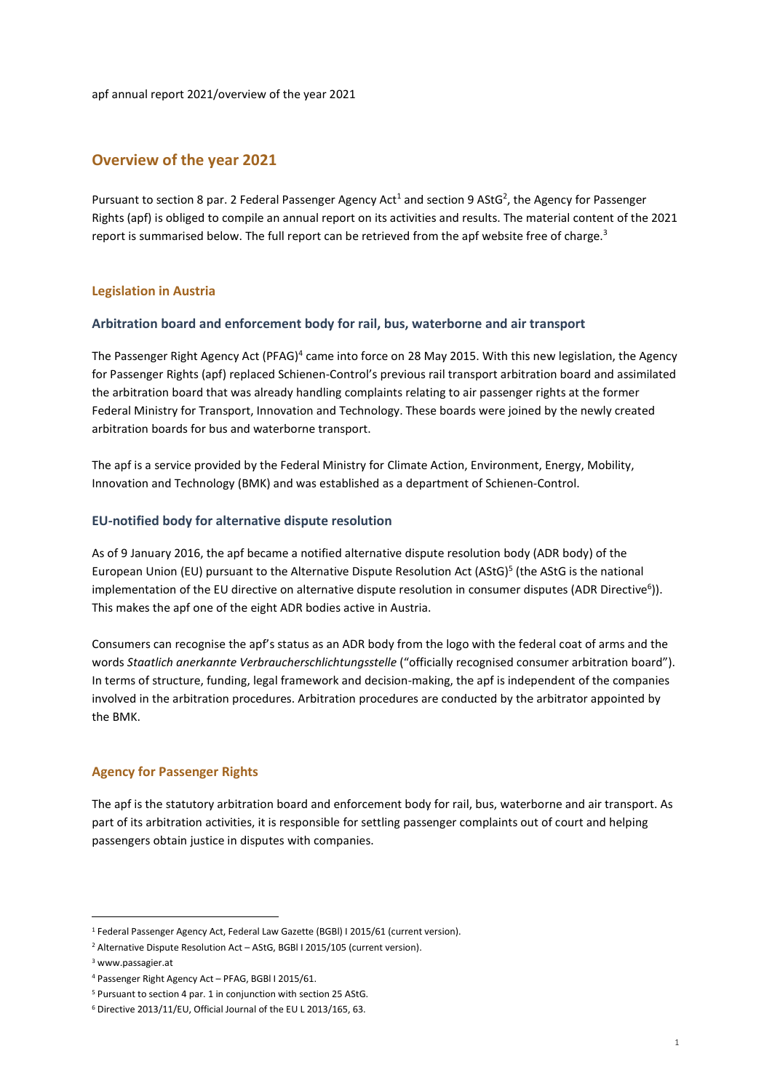# Overview of the year 2021

Pursuant to section 8 par. 2 Federal Passenger Agency Act<sup>1</sup> and section 9 AStG<sup>2</sup>, the Agency for Passenger Rights (apf) is obliged to compile an annual report on its activities and results. The material content of the 2021 report is summarised below. The full report can be retrieved from the apf website free of charge.<sup>3</sup>

## Legislation in Austria

## Arbitration board and enforcement body for rail, bus, waterborne and air transport

The Passenger Right Agency Act (PFAG)<sup>4</sup> came into force on 28 May 2015. With this new legislation, the Agency for Passenger Rights (apf) replaced Schienen-Control's previous rail transport arbitration board and assimilated the arbitration board that was already handling complaints relating to air passenger rights at the former Federal Ministry for Transport, Innovation and Technology. These boards were joined by the newly created arbitration boards for bus and waterborne transport.

The apf is a service provided by the Federal Ministry for Climate Action, Environment, Energy, Mobility, Innovation and Technology (BMK) and was established as a department of Schienen-Control.

### EU-notified body for alternative dispute resolution

As of 9 January 2016, the apf became a notified alternative dispute resolution body (ADR body) of the European Union (EU) pursuant to the Alternative Dispute Resolution Act (AStG)<sup>5</sup> (the AStG is the national implementation of the EU directive on alternative dispute resolution in consumer disputes (ADR Directive<sup>6</sup>)). This makes the apf one of the eight ADR bodies active in Austria.

Consumers can recognise the apf's status as an ADR body from the logo with the federal coat of arms and the words Staatlich anerkannte Verbraucherschlichtungsstelle ("officially recognised consumer arbitration board"). In terms of structure, funding, legal framework and decision-making, the apf is independent of the companies involved in the arbitration procedures. Arbitration procedures are conducted by the arbitrator appointed by the BMK.

# Agency for Passenger Rights

The apf is the statutory arbitration board and enforcement body for rail, bus, waterborne and air transport. As part of its arbitration activities, it is responsible for settling passenger complaints out of court and helping passengers obtain justice in disputes with companies.

-

<sup>&</sup>lt;sup>1</sup> Federal Passenger Agency Act, Federal Law Gazette (BGBI) I 2015/61 (current version).

<sup>&</sup>lt;sup>2</sup> Alternative Dispute Resolution Act - AStG, BGBI I 2015/105 (current version).

<sup>3</sup> www.passagier.at

<sup>4</sup> Passenger Right Agency Act – PFAG, BGBl I 2015/61.

<sup>&</sup>lt;sup>5</sup> Pursuant to section 4 par. 1 in conjunction with section 25 AStG.

<sup>6</sup> Directive 2013/11/EU, Official Journal of the EU L 2013/165, 63.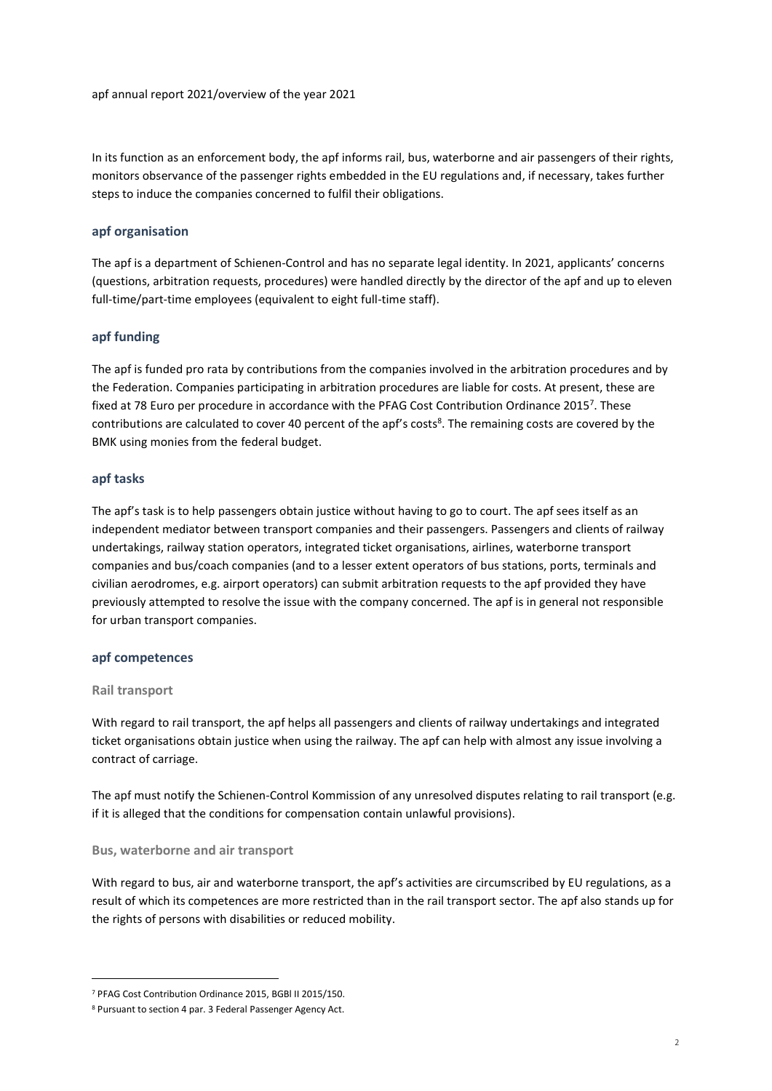In its function as an enforcement body, the apf informs rail, bus, waterborne and air passengers of their rights, monitors observance of the passenger rights embedded in the EU regulations and, if necessary, takes further steps to induce the companies concerned to fulfil their obligations.

# apf organisation

The apf is a department of Schienen-Control and has no separate legal identity. In 2021, applicants' concerns (questions, arbitration requests, procedures) were handled directly by the director of the apf and up to eleven full-time/part-time employees (equivalent to eight full-time staff).

# apf funding

The apf is funded pro rata by contributions from the companies involved in the arbitration procedures and by the Federation. Companies participating in arbitration procedures are liable for costs. At present, these are fixed at 78 Euro per procedure in accordance with the PFAG Cost Contribution Ordinance 2015<sup>7</sup>. These contributions are calculated to cover 40 percent of the apf's costs<sup>8</sup>. The remaining costs are covered by the BMK using monies from the federal budget.

## apf tasks

The apf's task is to help passengers obtain justice without having to go to court. The apf sees itself as an independent mediator between transport companies and their passengers. Passengers and clients of railway undertakings, railway station operators, integrated ticket organisations, airlines, waterborne transport companies and bus/coach companies (and to a lesser extent operators of bus stations, ports, terminals and civilian aerodromes, e.g. airport operators) can submit arbitration requests to the apf provided they have previously attempted to resolve the issue with the company concerned. The apf is in general not responsible for urban transport companies.

## apf competences

## Rail transport

-

With regard to rail transport, the apf helps all passengers and clients of railway undertakings and integrated ticket organisations obtain justice when using the railway. The apf can help with almost any issue involving a contract of carriage.

The apf must notify the Schienen-Control Kommission of any unresolved disputes relating to rail transport (e.g. if it is alleged that the conditions for compensation contain unlawful provisions).

## Bus, waterborne and air transport

With regard to bus, air and waterborne transport, the apf's activities are circumscribed by EU regulations, as a result of which its competences are more restricted than in the rail transport sector. The apf also stands up for the rights of persons with disabilities or reduced mobility.

<sup>7</sup> PFAG Cost Contribution Ordinance 2015, BGBl II 2015/150.

<sup>8</sup> Pursuant to section 4 par. 3 Federal Passenger Agency Act.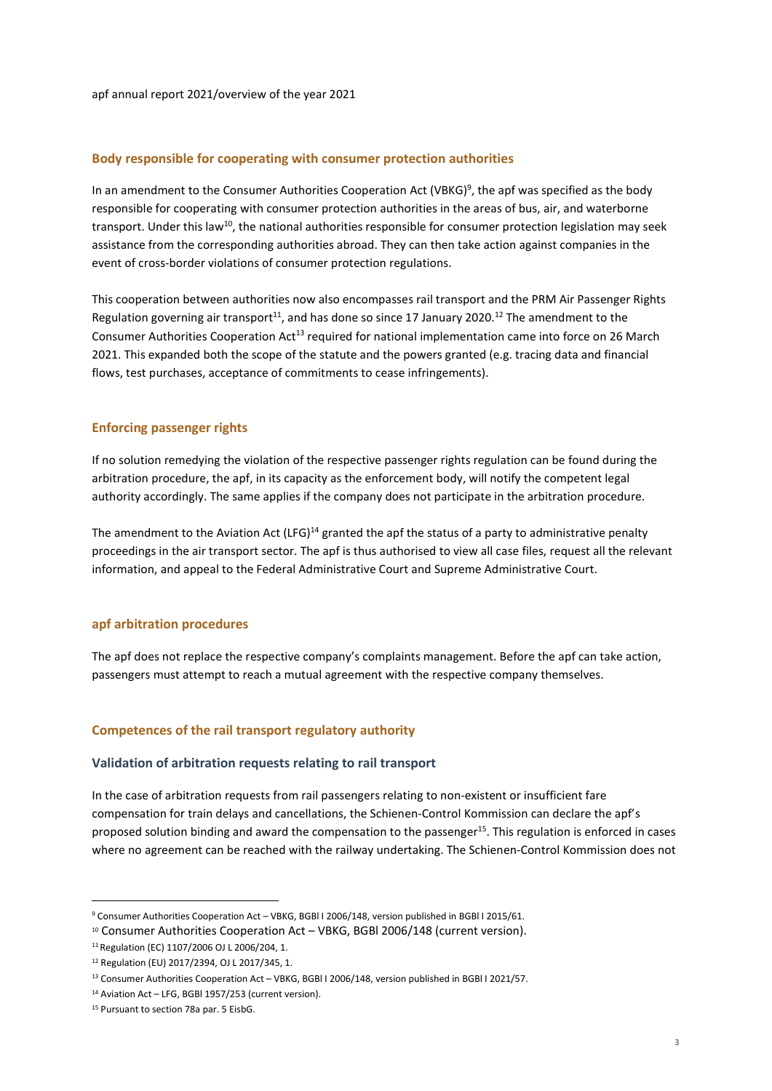### Body responsible for cooperating with consumer protection authorities

In an amendment to the Consumer Authorities Cooperation Act (VBKG)<sup>9</sup>, the apf was specified as the body responsible for cooperating with consumer protection authorities in the areas of bus, air, and waterborne transport. Under this law<sup>10</sup>, the national authorities responsible for consumer protection legislation may seek assistance from the corresponding authorities abroad. They can then take action against companies in the event of cross-border violations of consumer protection regulations.

This cooperation between authorities now also encompasses rail transport and the PRM Air Passenger Rights Regulation governing air transport<sup>11</sup>, and has done so since 17 January 2020.<sup>12</sup> The amendment to the Consumer Authorities Cooperation Act<sup>13</sup> required for national implementation came into force on 26 March 2021. This expanded both the scope of the statute and the powers granted (e.g. tracing data and financial flows, test purchases, acceptance of commitments to cease infringements).

### Enforcing passenger rights

If no solution remedying the violation of the respective passenger rights regulation can be found during the arbitration procedure, the apf, in its capacity as the enforcement body, will notify the competent legal authority accordingly. The same applies if the company does not participate in the arbitration procedure.

The amendment to the Aviation Act (LFG)<sup>14</sup> granted the apf the status of a party to administrative penalty proceedings in the air transport sector. The apf is thus authorised to view all case files, request all the relevant information, and appeal to the Federal Administrative Court and Supreme Administrative Court.

#### apf arbitration procedures

The apf does not replace the respective company's complaints management. Before the apf can take action, passengers must attempt to reach a mutual agreement with the respective company themselves.

## Competences of the rail transport regulatory authority

#### Validation of arbitration requests relating to rail transport

In the case of arbitration requests from rail passengers relating to non-existent or insufficient fare compensation for train delays and cancellations, the Schienen-Control Kommission can declare the apf's proposed solution binding and award the compensation to the passenger<sup>15</sup>. This regulation is enforced in cases where no agreement can be reached with the railway undertaking. The Schienen-Control Kommission does not

-

<sup>&</sup>lt;sup>9</sup> Consumer Authorities Cooperation Act - VBKG, BGBI I 2006/148, version published in BGBI I 2015/61.

<sup>10</sup> Consumer Authorities Cooperation Act – VBKG, BGBl 2006/148 (current version).

<sup>11</sup>Regulation (EC) 1107/2006 OJ L 2006/204, 1.

<sup>12</sup> Regulation (EU) 2017/2394, OJ L 2017/345, 1.

<sup>&</sup>lt;sup>13</sup> Consumer Authorities Cooperation Act – VBKG, BGBI I 2006/148, version published in BGBI I 2021/57.

<sup>14</sup> Aviation Act – LFG, BGBl 1957/253 (current version).

<sup>15</sup> Pursuant to section 78a par. 5 EisbG.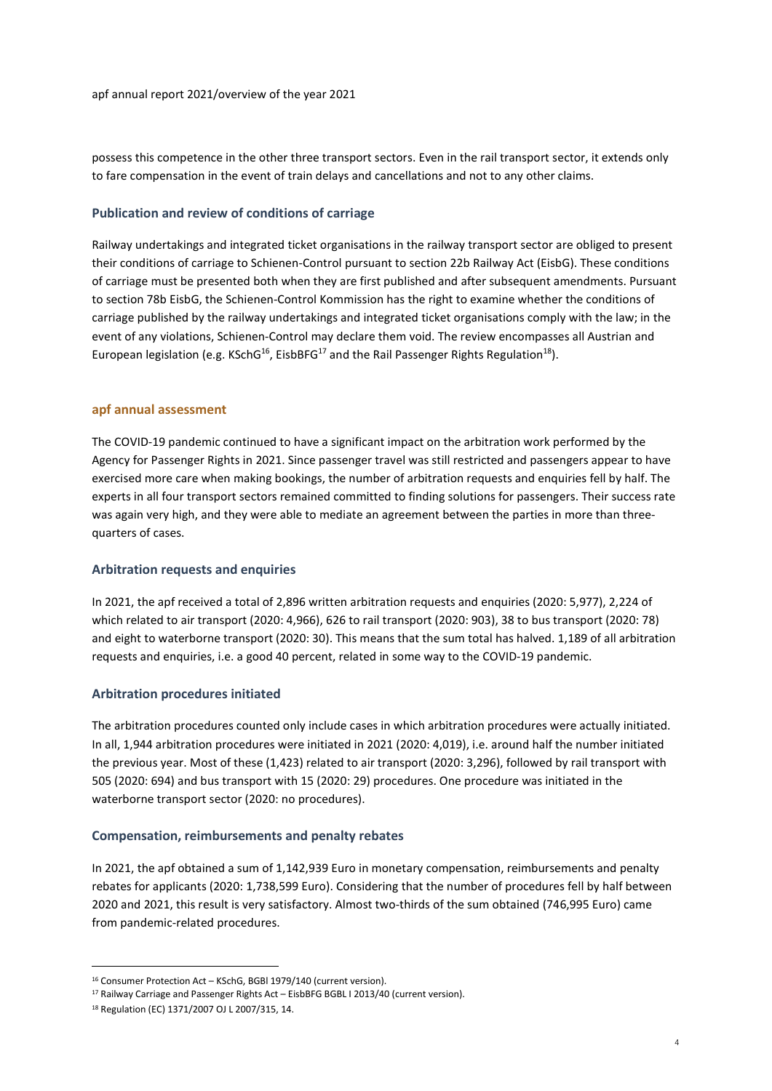possess this competence in the other three transport sectors. Even in the rail transport sector, it extends only to fare compensation in the event of train delays and cancellations and not to any other claims.

### Publication and review of conditions of carriage

Railway undertakings and integrated ticket organisations in the railway transport sector are obliged to present their conditions of carriage to Schienen-Control pursuant to section 22b Railway Act (EisbG). These conditions of carriage must be presented both when they are first published and after subsequent amendments. Pursuant to section 78b EisbG, the Schienen-Control Kommission has the right to examine whether the conditions of carriage published by the railway undertakings and integrated ticket organisations comply with the law; in the event of any violations, Schienen-Control may declare them void. The review encompasses all Austrian and European legislation (e.g. KSchG<sup>16</sup>, EisbBFG<sup>17</sup> and the Rail Passenger Rights Regulation<sup>18</sup>).

### apf annual assessment

The COVID-19 pandemic continued to have a significant impact on the arbitration work performed by the Agency for Passenger Rights in 2021. Since passenger travel was still restricted and passengers appear to have exercised more care when making bookings, the number of arbitration requests and enquiries fell by half. The experts in all four transport sectors remained committed to finding solutions for passengers. Their success rate was again very high, and they were able to mediate an agreement between the parties in more than threequarters of cases.

#### Arbitration requests and enquiries

In 2021, the apf received a total of 2,896 written arbitration requests and enquiries (2020: 5,977), 2,224 of which related to air transport (2020: 4,966), 626 to rail transport (2020: 903), 38 to bus transport (2020: 78) and eight to waterborne transport (2020: 30). This means that the sum total has halved. 1,189 of all arbitration requests and enquiries, i.e. a good 40 percent, related in some way to the COVID-19 pandemic.

#### Arbitration procedures initiated

The arbitration procedures counted only include cases in which arbitration procedures were actually initiated. In all, 1,944 arbitration procedures were initiated in 2021 (2020: 4,019), i.e. around half the number initiated the previous year. Most of these (1,423) related to air transport (2020: 3,296), followed by rail transport with 505 (2020: 694) and bus transport with 15 (2020: 29) procedures. One procedure was initiated in the waterborne transport sector (2020: no procedures).

#### Compensation, reimbursements and penalty rebates

In 2021, the apf obtained a sum of 1,142,939 Euro in monetary compensation, reimbursements and penalty rebates for applicants (2020: 1,738,599 Euro). Considering that the number of procedures fell by half between 2020 and 2021, this result is very satisfactory. Almost two-thirds of the sum obtained (746,995 Euro) came from pandemic-related procedures.

1

<sup>&</sup>lt;sup>16</sup> Consumer Protection Act – KSchG, BGBI 1979/140 (current version).

<sup>&</sup>lt;sup>17</sup> Railway Carriage and Passenger Rights Act - EisbBFG BGBL I 2013/40 (current version).

<sup>18</sup> Regulation (EC) 1371/2007 OJ L 2007/315, 14.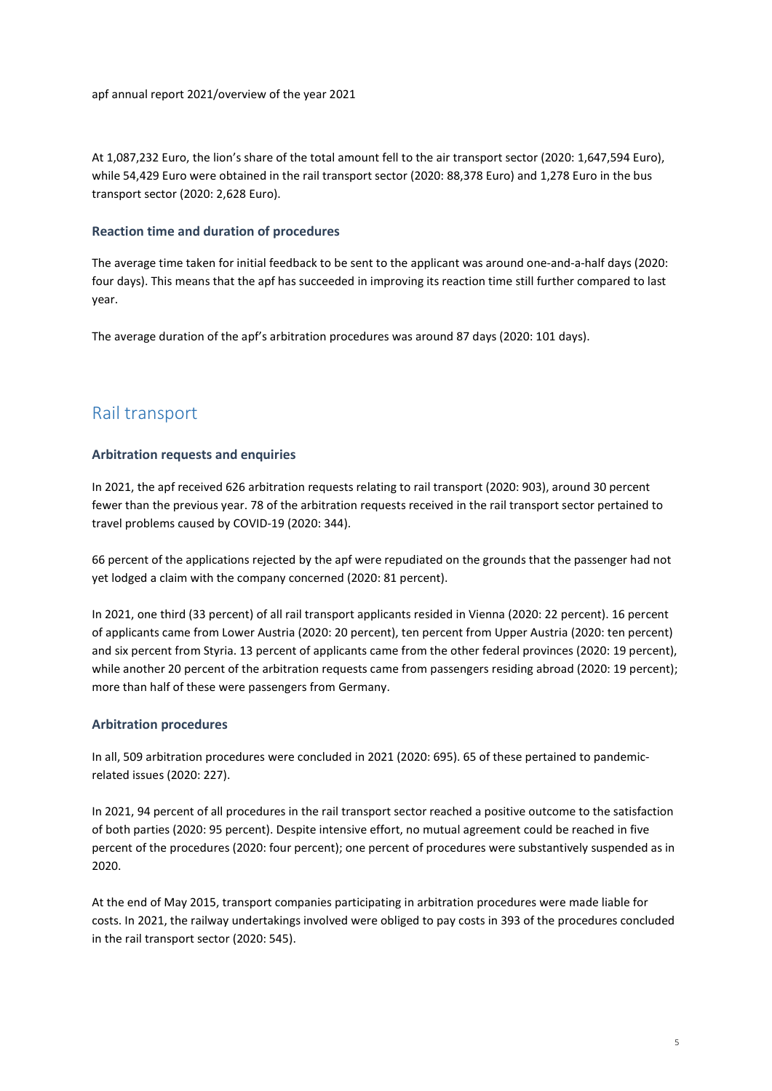At 1,087,232 Euro, the lion's share of the total amount fell to the air transport sector (2020: 1,647,594 Euro), while 54,429 Euro were obtained in the rail transport sector (2020: 88,378 Euro) and 1,278 Euro in the bus transport sector (2020: 2,628 Euro).

# Reaction time and duration of procedures

The average time taken for initial feedback to be sent to the applicant was around one-and-a-half days (2020: four days). This means that the apf has succeeded in improving its reaction time still further compared to last year.

The average duration of the apf's arbitration procedures was around 87 days (2020: 101 days).

# Rail transport

# Arbitration requests and enquiries

In 2021, the apf received 626 arbitration requests relating to rail transport (2020: 903), around 30 percent fewer than the previous year. 78 of the arbitration requests received in the rail transport sector pertained to travel problems caused by COVID-19 (2020: 344).

66 percent of the applications rejected by the apf were repudiated on the grounds that the passenger had not yet lodged a claim with the company concerned (2020: 81 percent).

In 2021, one third (33 percent) of all rail transport applicants resided in Vienna (2020: 22 percent). 16 percent of applicants came from Lower Austria (2020: 20 percent), ten percent from Upper Austria (2020: ten percent) and six percent from Styria. 13 percent of applicants came from the other federal provinces (2020: 19 percent), while another 20 percent of the arbitration requests came from passengers residing abroad (2020: 19 percent); more than half of these were passengers from Germany.

# Arbitration procedures

In all, 509 arbitration procedures were concluded in 2021 (2020: 695). 65 of these pertained to pandemicrelated issues (2020: 227).

In 2021, 94 percent of all procedures in the rail transport sector reached a positive outcome to the satisfaction of both parties (2020: 95 percent). Despite intensive effort, no mutual agreement could be reached in five percent of the procedures (2020: four percent); one percent of procedures were substantively suspended as in 2020.

At the end of May 2015, transport companies participating in arbitration procedures were made liable for costs. In 2021, the railway undertakings involved were obliged to pay costs in 393 of the procedures concluded in the rail transport sector (2020: 545).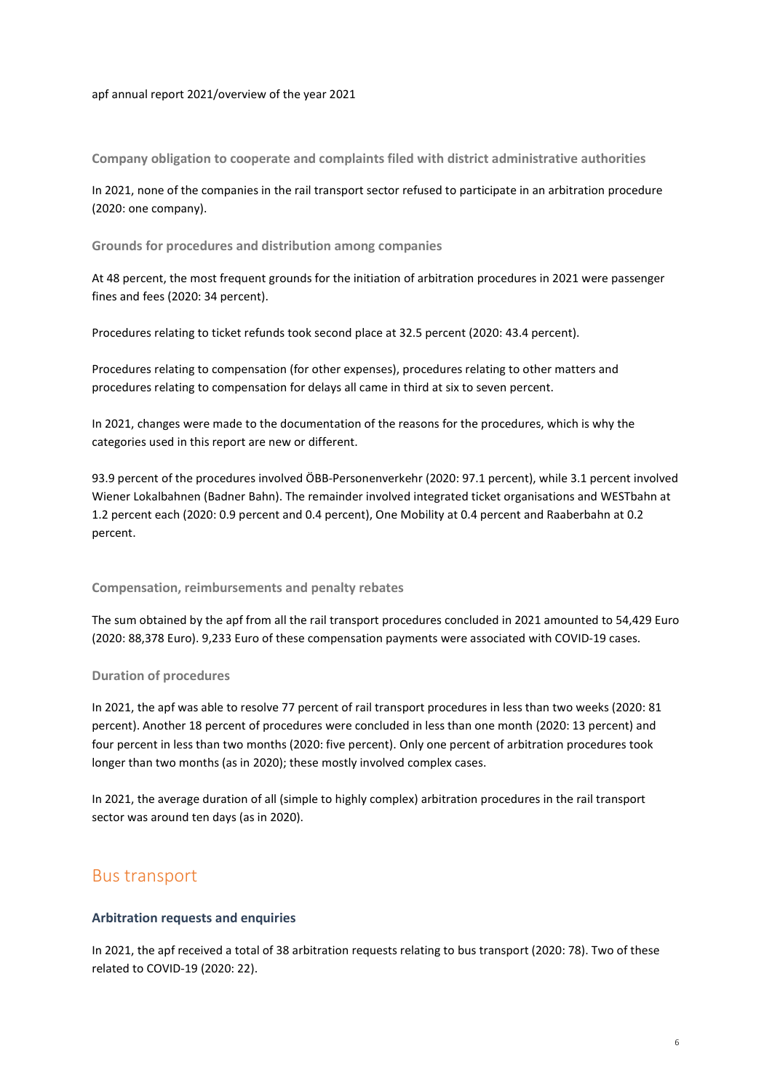Company obligation to cooperate and complaints filed with district administrative authorities

In 2021, none of the companies in the rail transport sector refused to participate in an arbitration procedure (2020: one company).

Grounds for procedures and distribution among companies

At 48 percent, the most frequent grounds for the initiation of arbitration procedures in 2021 were passenger fines and fees (2020: 34 percent).

Procedures relating to ticket refunds took second place at 32.5 percent (2020: 43.4 percent).

Procedures relating to compensation (for other expenses), procedures relating to other matters and procedures relating to compensation for delays all came in third at six to seven percent.

In 2021, changes were made to the documentation of the reasons for the procedures, which is why the categories used in this report are new or different.

93.9 percent of the procedures involved ÖBB-Personenverkehr (2020: 97.1 percent), while 3.1 percent involved Wiener Lokalbahnen (Badner Bahn). The remainder involved integrated ticket organisations and WESTbahn at 1.2 percent each (2020: 0.9 percent and 0.4 percent), One Mobility at 0.4 percent and Raaberbahn at 0.2 percent.

#### Compensation, reimbursements and penalty rebates

The sum obtained by the apf from all the rail transport procedures concluded in 2021 amounted to 54,429 Euro (2020: 88,378 Euro). 9,233 Euro of these compensation payments were associated with COVID-19 cases.

## Duration of procedures

In 2021, the apf was able to resolve 77 percent of rail transport procedures in less than two weeks (2020: 81 percent). Another 18 percent of procedures were concluded in less than one month (2020: 13 percent) and four percent in less than two months (2020: five percent). Only one percent of arbitration procedures took longer than two months (as in 2020); these mostly involved complex cases.

In 2021, the average duration of all (simple to highly complex) arbitration procedures in the rail transport sector was around ten days (as in 2020).

# Bus transport

# Arbitration requests and enquiries

In 2021, the apf received a total of 38 arbitration requests relating to bus transport (2020: 78). Two of these related to COVID-19 (2020: 22).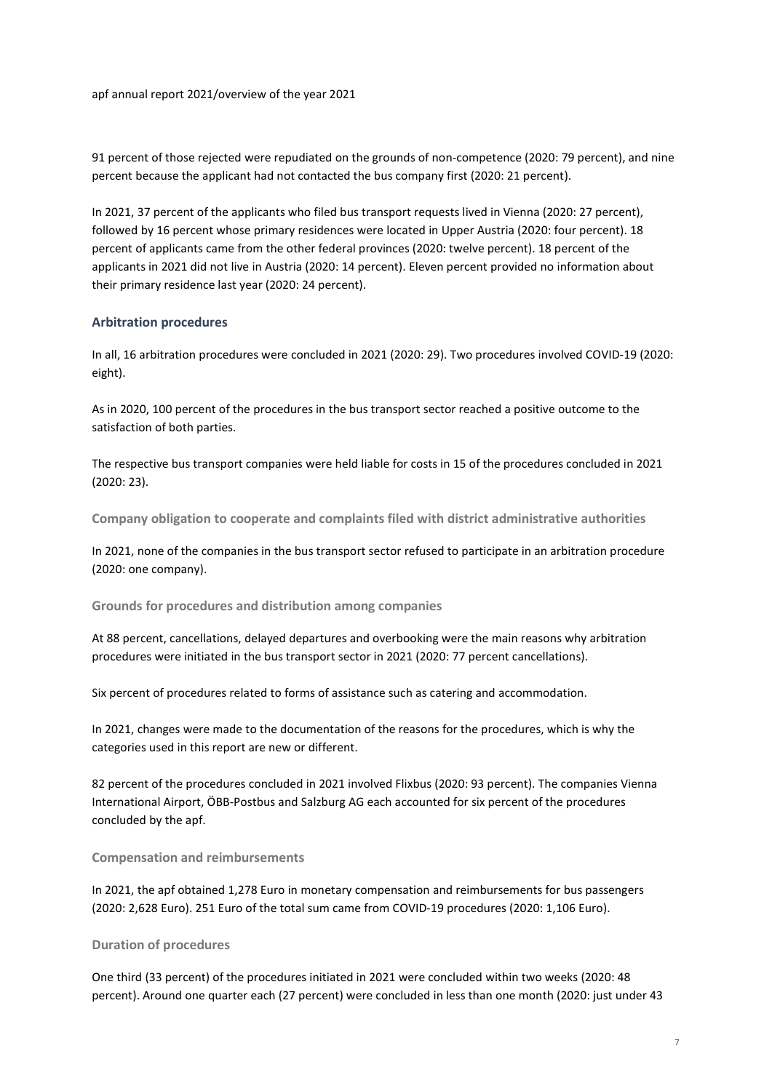91 percent of those rejected were repudiated on the grounds of non-competence (2020: 79 percent), and nine percent because the applicant had not contacted the bus company first (2020: 21 percent).

In 2021, 37 percent of the applicants who filed bus transport requests lived in Vienna (2020: 27 percent), followed by 16 percent whose primary residences were located in Upper Austria (2020: four percent). 18 percent of applicants came from the other federal provinces (2020: twelve percent). 18 percent of the applicants in 2021 did not live in Austria (2020: 14 percent). Eleven percent provided no information about their primary residence last year (2020: 24 percent).

# Arbitration procedures

In all, 16 arbitration procedures were concluded in 2021 (2020: 29). Two procedures involved COVID-19 (2020: eight).

As in 2020, 100 percent of the procedures in the bus transport sector reached a positive outcome to the satisfaction of both parties.

The respective bus transport companies were held liable for costs in 15 of the procedures concluded in 2021 (2020: 23).

Company obligation to cooperate and complaints filed with district administrative authorities

In 2021, none of the companies in the bus transport sector refused to participate in an arbitration procedure (2020: one company).

Grounds for procedures and distribution among companies

At 88 percent, cancellations, delayed departures and overbooking were the main reasons why arbitration procedures were initiated in the bus transport sector in 2021 (2020: 77 percent cancellations).

Six percent of procedures related to forms of assistance such as catering and accommodation.

In 2021, changes were made to the documentation of the reasons for the procedures, which is why the categories used in this report are new or different.

82 percent of the procedures concluded in 2021 involved Flixbus (2020: 93 percent). The companies Vienna International Airport, ÖBB-Postbus and Salzburg AG each accounted for six percent of the procedures concluded by the apf.

# Compensation and reimbursements

In 2021, the apf obtained 1,278 Euro in monetary compensation and reimbursements for bus passengers (2020: 2,628 Euro). 251 Euro of the total sum came from COVID-19 procedures (2020: 1,106 Euro).

# Duration of procedures

One third (33 percent) of the procedures initiated in 2021 were concluded within two weeks (2020: 48 percent). Around one quarter each (27 percent) were concluded in less than one month (2020: just under 43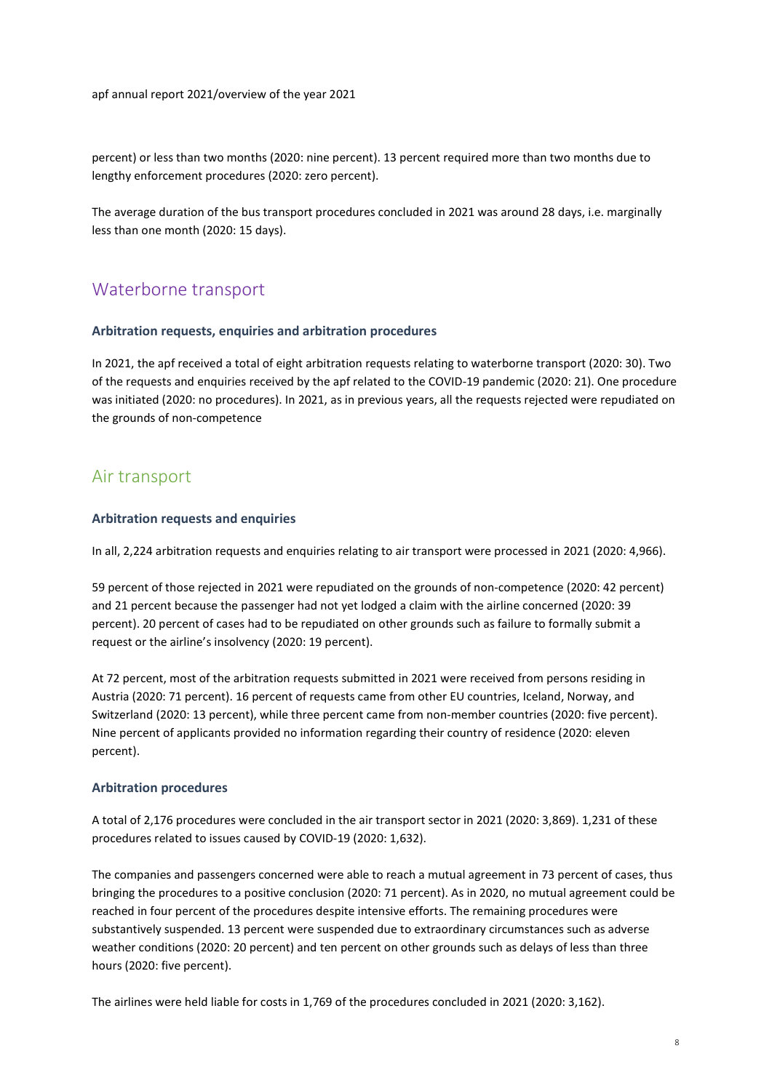percent) or less than two months (2020: nine percent). 13 percent required more than two months due to lengthy enforcement procedures (2020: zero percent).

The average duration of the bus transport procedures concluded in 2021 was around 28 days, i.e. marginally less than one month (2020: 15 days).

# Waterborne transport

## Arbitration requests, enquiries and arbitration procedures

In 2021, the apf received a total of eight arbitration requests relating to waterborne transport (2020: 30). Two of the requests and enquiries received by the apf related to the COVID-19 pandemic (2020: 21). One procedure was initiated (2020: no procedures). In 2021, as in previous years, all the requests rejected were repudiated on the grounds of non-competence

# Air transport

### Arbitration requests and enquiries

In all, 2,224 arbitration requests and enquiries relating to air transport were processed in 2021 (2020: 4,966).

59 percent of those rejected in 2021 were repudiated on the grounds of non-competence (2020: 42 percent) and 21 percent because the passenger had not yet lodged a claim with the airline concerned (2020: 39 percent). 20 percent of cases had to be repudiated on other grounds such as failure to formally submit a request or the airline's insolvency (2020: 19 percent).

At 72 percent, most of the arbitration requests submitted in 2021 were received from persons residing in Austria (2020: 71 percent). 16 percent of requests came from other EU countries, Iceland, Norway, and Switzerland (2020: 13 percent), while three percent came from non-member countries (2020: five percent). Nine percent of applicants provided no information regarding their country of residence (2020: eleven percent).

## Arbitration procedures

A total of 2,176 procedures were concluded in the air transport sector in 2021 (2020: 3,869). 1,231 of these procedures related to issues caused by COVID-19 (2020: 1,632).

The companies and passengers concerned were able to reach a mutual agreement in 73 percent of cases, thus bringing the procedures to a positive conclusion (2020: 71 percent). As in 2020, no mutual agreement could be reached in four percent of the procedures despite intensive efforts. The remaining procedures were substantively suspended. 13 percent were suspended due to extraordinary circumstances such as adverse weather conditions (2020: 20 percent) and ten percent on other grounds such as delays of less than three hours (2020: five percent).

The airlines were held liable for costs in 1,769 of the procedures concluded in 2021 (2020: 3,162).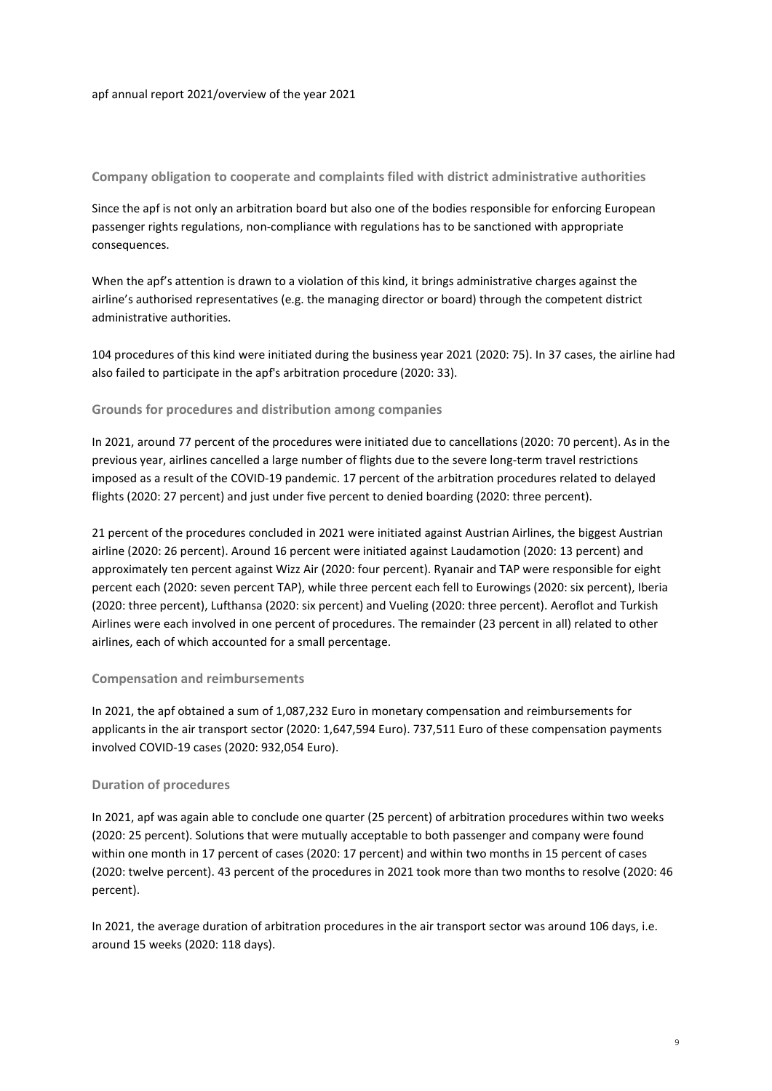### Company obligation to cooperate and complaints filed with district administrative authorities

Since the apf is not only an arbitration board but also one of the bodies responsible for enforcing European passenger rights regulations, non-compliance with regulations has to be sanctioned with appropriate consequences.

When the apf's attention is drawn to a violation of this kind, it brings administrative charges against the airline's authorised representatives (e.g. the managing director or board) through the competent district administrative authorities.

104 procedures of this kind were initiated during the business year 2021 (2020: 75). In 37 cases, the airline had also failed to participate in the apf's arbitration procedure (2020: 33).

### Grounds for procedures and distribution among companies

In 2021, around 77 percent of the procedures were initiated due to cancellations (2020: 70 percent). As in the previous year, airlines cancelled a large number of flights due to the severe long-term travel restrictions imposed as a result of the COVID-19 pandemic. 17 percent of the arbitration procedures related to delayed flights (2020: 27 percent) and just under five percent to denied boarding (2020: three percent).

21 percent of the procedures concluded in 2021 were initiated against Austrian Airlines, the biggest Austrian airline (2020: 26 percent). Around 16 percent were initiated against Laudamotion (2020: 13 percent) and approximately ten percent against Wizz Air (2020: four percent). Ryanair and TAP were responsible for eight percent each (2020: seven percent TAP), while three percent each fell to Eurowings (2020: six percent), Iberia (2020: three percent), Lufthansa (2020: six percent) and Vueling (2020: three percent). Aeroflot and Turkish Airlines were each involved in one percent of procedures. The remainder (23 percent in all) related to other airlines, each of which accounted for a small percentage.

#### Compensation and reimbursements

In 2021, the apf obtained a sum of 1,087,232 Euro in monetary compensation and reimbursements for applicants in the air transport sector (2020: 1,647,594 Euro). 737,511 Euro of these compensation payments involved COVID-19 cases (2020: 932,054 Euro).

#### Duration of procedures

In 2021, apf was again able to conclude one quarter (25 percent) of arbitration procedures within two weeks (2020: 25 percent). Solutions that were mutually acceptable to both passenger and company were found within one month in 17 percent of cases (2020: 17 percent) and within two months in 15 percent of cases (2020: twelve percent). 43 percent of the procedures in 2021 took more than two months to resolve (2020: 46 percent).

In 2021, the average duration of arbitration procedures in the air transport sector was around 106 days, i.e. around 15 weeks (2020: 118 days).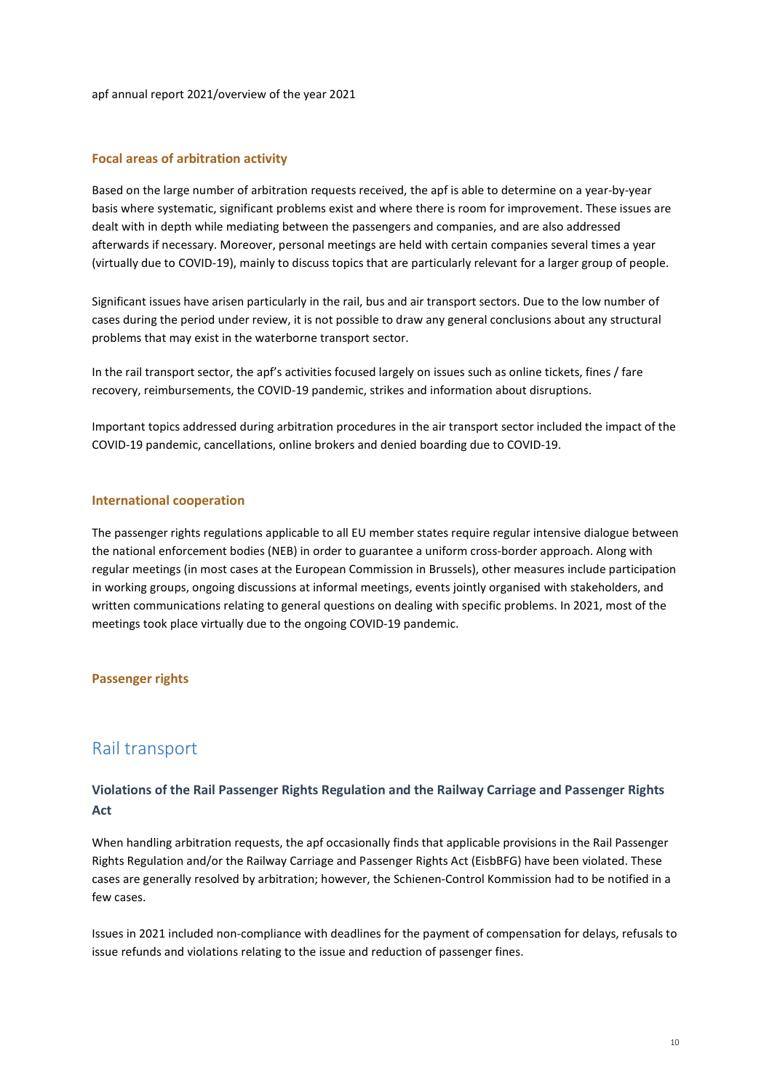### Focal areas of arbitration activity

Based on the large number of arbitration requests received, the apf is able to determine on a year-by-year basis where systematic, significant problems exist and where there is room for improvement. These issues are dealt with in depth while mediating between the passengers and companies, and are also addressed afterwards if necessary. Moreover, personal meetings are held with certain companies several times a year (virtually due to COVID-19), mainly to discuss topics that are particularly relevant for a larger group of people.

Significant issues have arisen particularly in the rail, bus and air transport sectors. Due to the low number of cases during the period under review, it is not possible to draw any general conclusions about any structural problems that may exist in the waterborne transport sector.

In the rail transport sector, the apf's activities focused largely on issues such as online tickets, fines / fare recovery, reimbursements, the COVID-19 pandemic, strikes and information about disruptions.

Important topics addressed during arbitration procedures in the air transport sector included the impact of the COVID-19 pandemic, cancellations, online brokers and denied boarding due to COVID-19.

### International cooperation

The passenger rights regulations applicable to all EU member states require regular intensive dialogue between the national enforcement bodies (NEB) in order to guarantee a uniform cross-border approach. Along with regular meetings (in most cases at the European Commission in Brussels), other measures include participation in working groups, ongoing discussions at informal meetings, events jointly organised with stakeholders, and written communications relating to general questions on dealing with specific problems. In 2021, most of the meetings took place virtually due to the ongoing COVID-19 pandemic.

## Passenger rights

# Rail transport

# Violations of the Rail Passenger Rights Regulation and the Railway Carriage and Passenger Rights Act

When handling arbitration requests, the apf occasionally finds that applicable provisions in the Rail Passenger Rights Regulation and/or the Railway Carriage and Passenger Rights Act (EisbBFG) have been violated. These cases are generally resolved by arbitration; however, the Schienen-Control Kommission had to be notified in a few cases.

Issues in 2021 included non-compliance with deadlines for the payment of compensation for delays, refusals to issue refunds and violations relating to the issue and reduction of passenger fines.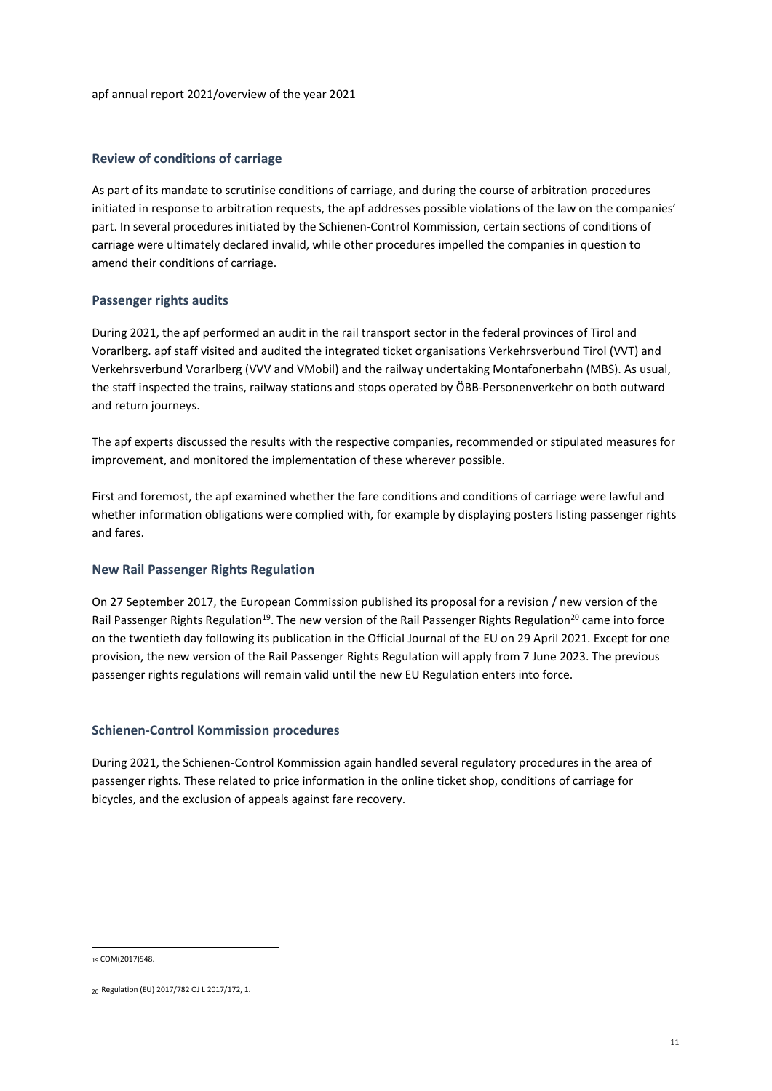# Review of conditions of carriage

As part of its mandate to scrutinise conditions of carriage, and during the course of arbitration procedures initiated in response to arbitration requests, the apf addresses possible violations of the law on the companies' part. In several procedures initiated by the Schienen-Control Kommission, certain sections of conditions of carriage were ultimately declared invalid, while other procedures impelled the companies in question to amend their conditions of carriage.

# Passenger rights audits

During 2021, the apf performed an audit in the rail transport sector in the federal provinces of Tirol and Vorarlberg. apf staff visited and audited the integrated ticket organisations Verkehrsverbund Tirol (VVT) and Verkehrsverbund Vorarlberg (VVV and VMobil) and the railway undertaking Montafonerbahn (MBS). As usual, the staff inspected the trains, railway stations and stops operated by ÖBB-Personenverkehr on both outward and return journeys.

The apf experts discussed the results with the respective companies, recommended or stipulated measures for improvement, and monitored the implementation of these wherever possible.

First and foremost, the apf examined whether the fare conditions and conditions of carriage were lawful and whether information obligations were complied with, for example by displaying posters listing passenger rights and fares.

## New Rail Passenger Rights Regulation

On 27 September 2017, the European Commission published its proposal for a revision / new version of the Rail Passenger Rights Regulation<sup>19</sup>. The new version of the Rail Passenger Rights Regulation<sup>20</sup> came into force on the twentieth day following its publication in the Official Journal of the EU on 29 April 2021. Except for one provision, the new version of the Rail Passenger Rights Regulation will apply from 7 June 2023. The previous passenger rights regulations will remain valid until the new EU Regulation enters into force.

## Schienen-Control Kommission procedures

During 2021, the Schienen-Control Kommission again handled several regulatory procedures in the area of passenger rights. These related to price information in the online ticket shop, conditions of carriage for bicycles, and the exclusion of appeals against fare recovery.

1

<sup>19</sup> COM(2017)548.

<sup>20</sup> Regulation (EU) 2017/782 OJ L 2017/172, 1.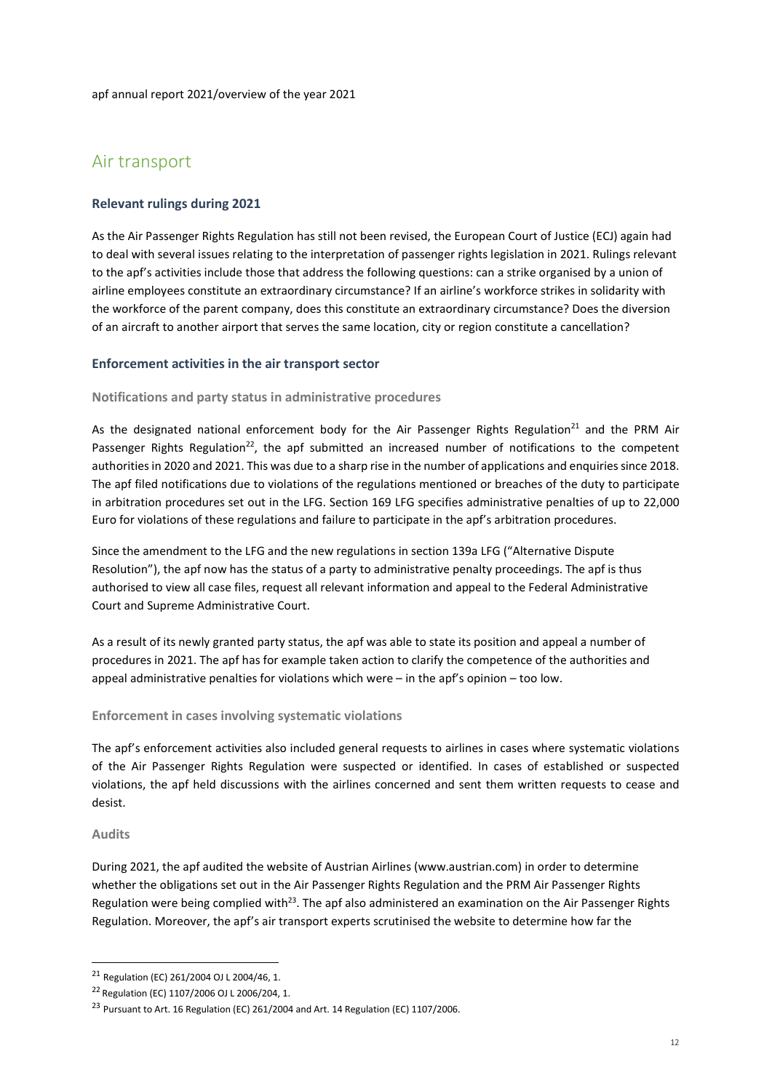# Air transport

# Relevant rulings during 2021

As the Air Passenger Rights Regulation has still not been revised, the European Court of Justice (ECJ) again had to deal with several issues relating to the interpretation of passenger rights legislation in 2021. Rulings relevant to the apf's activities include those that address the following questions: can a strike organised by a union of airline employees constitute an extraordinary circumstance? If an airline's workforce strikes in solidarity with the workforce of the parent company, does this constitute an extraordinary circumstance? Does the diversion of an aircraft to another airport that serves the same location, city or region constitute a cancellation?

### Enforcement activities in the air transport sector

#### Notifications and party status in administrative procedures

As the designated national enforcement body for the Air Passenger Rights Regulation<sup>21</sup> and the PRM Air Passenger Rights Regulation<sup>22</sup>, the apf submitted an increased number of notifications to the competent authorities in 2020 and 2021. This was due to a sharp rise in the number of applications and enquiries since 2018. The apf filed notifications due to violations of the regulations mentioned or breaches of the duty to participate in arbitration procedures set out in the LFG. Section 169 LFG specifies administrative penalties of up to 22,000 Euro for violations of these regulations and failure to participate in the apf's arbitration procedures.

Since the amendment to the LFG and the new regulations in section 139a LFG ("Alternative Dispute Resolution"), the apf now has the status of a party to administrative penalty proceedings. The apf is thus authorised to view all case files, request all relevant information and appeal to the Federal Administrative Court and Supreme Administrative Court.

As a result of its newly granted party status, the apf was able to state its position and appeal a number of procedures in 2021. The apf has for example taken action to clarify the competence of the authorities and appeal administrative penalties for violations which were – in the apf's opinion – too low.

#### Enforcement in cases involving systematic violations

The apf's enforcement activities also included general requests to airlines in cases where systematic violations of the Air Passenger Rights Regulation were suspected or identified. In cases of established or suspected violations, the apf held discussions with the airlines concerned and sent them written requests to cease and desist.

#### Audits

-

During 2021, the apf audited the website of Austrian Airlines (www.austrian.com) in order to determine whether the obligations set out in the Air Passenger Rights Regulation and the PRM Air Passenger Rights Regulation were being complied with<sup>23</sup>. The apf also administered an examination on the Air Passenger Rights Regulation. Moreover, the apf's air transport experts scrutinised the website to determine how far the

<sup>21</sup> Regulation (EC) 261/2004 OJ L 2004/46, 1.

<sup>22</sup>Regulation (EC) 1107/2006 OJ L 2006/204, 1.

<sup>&</sup>lt;sup>23</sup> Pursuant to Art. 16 Regulation (EC) 261/2004 and Art. 14 Regulation (EC) 1107/2006.